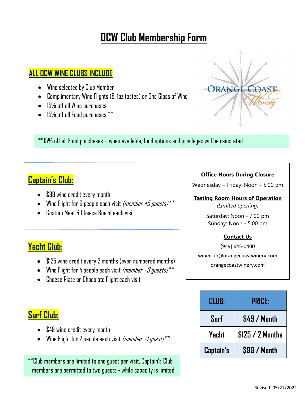## **OCW Club Membership Form**

### **ALL OCW WINE CLUBS INCLUDE**

- Wine selected by Club Member
- Complimentary Wine Flights (8, 1oz tastes) or One Glass of Wine
- 15% off all Wine purchases
- 15% off all Food purchases \*\*



\*\*15% off all Food purchases – when available, food options and privileges will be reinstated

## **Captain's Club:**

- \$99 wine credit every month
- Wine Flight for 6 people each visit *(member +5 guests)*\*\*
- Custom Meat & Cheese Board each visit

## **Yacht Club:**

- \$125 wine credit every 2 months (even numbered months)
- Wine Flight for 4 people each visit *(member +3 guests)*\*\*
- Cheese Plate or Chocolate Flight each visit

## **Surf Club:**

- \$49 wine credit every month
- Wine Flight for 2 people each visit (member +/ guest)\*\*

\*\*Club members are limited to one guest per visit, Captain's Club members are permitted to two guests - while capacity is limited

#### **Office Hours During Closure**

Wednesday – Friday: Noon – 5:00 pm

#### **Tasting Room Hours of Operation**

*(Limited opening)*

Saturday: Noon - 7:00 pm Sunday: Noon - 5:00 pm

#### **Contact Us**

(949) 645-0400 wineclub@orangecoastwinery.com orangecoastwinery.com

| <b>CLUB:</b> | PRICE:             |
|--------------|--------------------|
| Surf         | <b>S49 / Month</b> |
| Yacht        | \$125 / 2 Months   |
| Captain's    | \$99 / Month       |